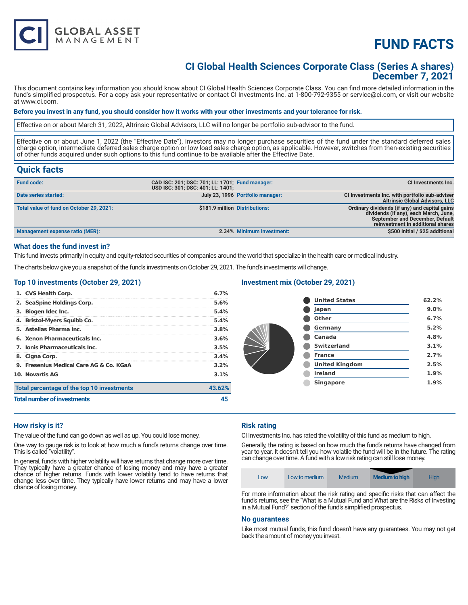

# **FUND FACTS**

### **CI Global Health Sciences Corporate Class (Series A shares) December 7, 2021**

This document contains key information you should know about CI Global Health Sciences Corporate Class. You can find more detailed information in the fund's simplified prospectus. For a copy ask your representative or contact CI Investments Inc. at 1-800-792-9355 or service@ci.com, or visit our website at www.ci.com.

#### **Before you invest in any fund, you should consider how it works with your other investments and your tolerance for risk.**

Effective on or about March 31, 2022, Altrinsic Global Advisors, LLC will no longer be portfolio sub-advisor to the fund.

Effective on or about June 1, 2022 (the "Effective Date"), investors may no longer purchase securities of the fund under the standard deferred sales charge option, intermediate deferred sales charge option or low load sales charge option, as applicable. However, switches from then-existing securities of other funds acquired under such options to this fund continue to be available after the Effective Date.

### **Quick facts**

| <b>Fund code:</b>                        | CAD ISC: 201; DSC: 701; LL: 1701; Fund manager:<br>USD ISC: 301; DSC: 401; LL: 1401; |                                  | <b>CI Investments Inc.</b>                                                                                                                                            |
|------------------------------------------|--------------------------------------------------------------------------------------|----------------------------------|-----------------------------------------------------------------------------------------------------------------------------------------------------------------------|
| Date series started:                     |                                                                                      | July 23, 1996 Portfolio manager: | CI Investments Inc. with portfolio sub-adviser<br><b>Altrinsic Global Advisors, LLC</b>                                                                               |
| Total value of fund on October 29, 2021: |                                                                                      | \$181.9 million Distributions:   | Ordinary dividends (if any) and capital gains<br>dividends (if any), each March, June,<br><b>September and December, Default</b><br>reinvestment in additional shares |
| Management expense ratio (MER):          |                                                                                      | 2.34% Minimum investment:        | \$500 initial / \$25 additional                                                                                                                                       |

#### **What does the fund invest in?**

This fund invests primarily in equity and equity-related securities of companies around the world that specialize in the health care or medical industry.

The charts below give you a snapshot of the fund's investments on October 29, 2021. The fund's investments will change.

#### **Top 10 investments (October 29, 2021)**

| 1. CVS Health Corp.                        | 6.7%    |
|--------------------------------------------|---------|
| 2. SeaSpine Holdings Corp.                 | 5.6%    |
| 3. Biogen Idec Inc.                        | 5.4%    |
| 4. Bristol-Myers Squibb Co.                | 5.4%    |
| 5. Astellas Pharma Inc.                    | 3.8%    |
| 6. Xenon Pharmaceuticals Inc.              | 3.6%    |
| 7. Ionis Pharmaceuticals Inc.              | 3.5%    |
| 8. Cigna Corp.                             | 3.4%    |
| 9. Fresenius Medical Care AG & Co. KGaA    | 3.2%    |
| <b>10. Novartis AG</b>                     | $3.1\%$ |
| Total percentage of the top 10 investments | 43.62%  |
| <b>Total number of investments</b>         | 45      |

#### **Investment mix (October 29, 2021)**

| <b>United States</b>  | 62.2% |
|-----------------------|-------|
| Japan                 | 9.0%  |
| <b>Other</b>          | 6.7%  |
| Germany               | 5.2%  |
| Canada                | 4.8%  |
| <b>Switzerland</b>    | 3.1%  |
| <b>France</b>         | 2.7%  |
| <b>United Kingdom</b> | 2.5%  |
| <b>Ireland</b>        | 1.9%  |
| <b>Singapore</b>      | 1.9%  |
|                       |       |

#### **How risky is it?**

The value of the fund can go down as well as up. You could lose money.

One way to gauge risk is to look at how much a fund's returns change over time. This is called "volatility".

In general, funds with higher volatility will have returns that change more over time. They typically have a greater chance of losing money and may have a greater chance of higher returns. Funds with lower volatility tend to have returns that change less over time. They typically have lower returns and may have a lower chance of losing money.

#### **Risk rating**

CI Investments Inc. has rated the volatility of this fund as medium to high.

Generally, the rating is based on how much the fund's returns have changed from year to year. It doesn't tell you how volatile the fund will be in the future. The rating can change over time. A fund with a low risk rating can still lose money.

| Low | Low to medium | Medium | <b>Medium to high</b> | High |
|-----|---------------|--------|-----------------------|------|
|-----|---------------|--------|-----------------------|------|

For more information about the risk rating and specific risks that can affect the fund's returns, see the "What is a Mutual Fund and What are the Risks of Investing in a Mutual Fund?" section of the fund's simplified prospectus.

#### **No guarantees**

Like most mutual funds, this fund doesn't have any guarantees. You may not get back the amount of money you invest.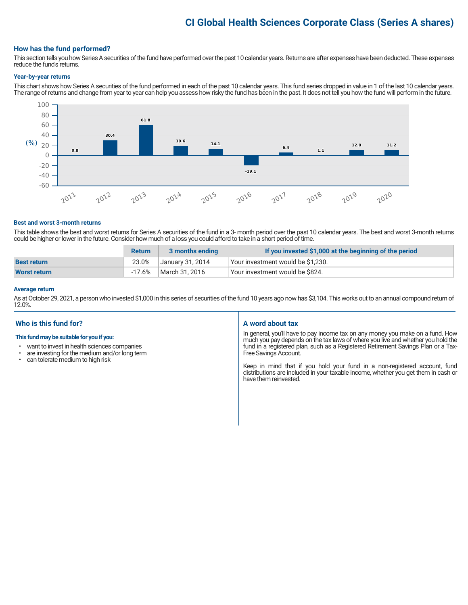## **CI Global Health Sciences Corporate Class (Series A shares)**

#### **How has the fund performed?**

This section tells you how Series A securities of the fund have performed over the past 10 calendar years. Returns are after expenses have been deducted. These expenses reduce the fund's returns.

#### **Year-by-year returns**

This chart shows how Series A securities of the fund performed in each of the past 10 calendar years. This fund series dropped in value in 1 of the last 10 calendar years. The range of returns and change from year to year can help you assess how risky the fund has been in the past. It does not tell you how the fund will perform in the future.



#### **Best and worst 3-month returns**

This table shows the best and worst returns for Series A securities of the fund in a 3- month period over the past 10 calendar years. The best and worst 3-month returns could be higher or lower in the future. Consider how much of a loss you could afford to take in a short period of time.

|                    | <b>Return</b> | 3 months ending  | If you invested \$1,000 at the beginning of the period |
|--------------------|---------------|------------------|--------------------------------------------------------|
| <b>Best return</b> | 23.0%         | January 31, 2014 | l Your investment would be \$1,230.                    |
| Worst return       | -17.6%        | March 31, 2016   | Your investment would be \$824.                        |

#### **Average return**

As at October 29, 2021, a person who invested \$1,000 in this series of securities of the fund 10 years ago now has \$3,104. This works out to an annual compound return of 12.0%.

#### **Who is this fund for?**

#### **This fund may be suitable for you if you:**

- want to invest in health sciences companies
- are investing for the medium and/or long term<br>• can tolerate medium to bigh risk
- can tolerate medium to high risk

#### **A word about tax**

In general, you'll have to pay income tax on any money you make on a fund. How much you pay depends on the tax laws of where you live and whether you hold the fund in a registered plan, such as a Registered Retirement Savings Plan or a Tax-Free Savings Account.

Keep in mind that if you hold your fund in a non-registered account, fund distributions are included in your taxable income, whether you get them in cash or have them reinvested.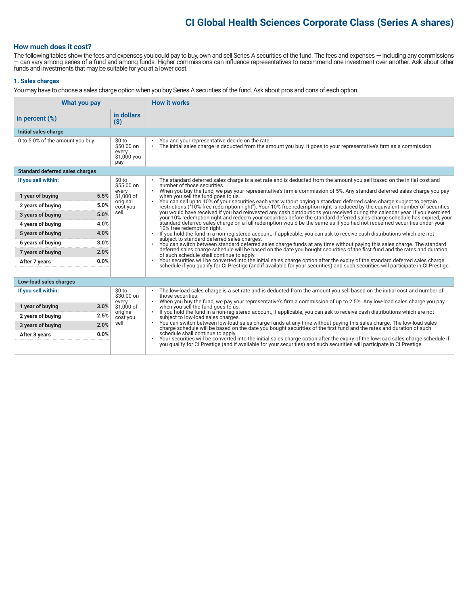## **CI Global Health Sciences Corporate Class (Series A shares)**

#### **How much does it cost?**

The following tables show the fees and expenses you could pay to buy, own and sell Series A securities of the fund. The fees and expenses — including any commissions — can vary among series of a fund and among funds. Higher commissions can influence representatives to recommend one investment over another. Ask about other funds and investments that may be suitable for you at a lower cost.

#### **1. Sales charges**

You may have to choose a sales charge option when you buy Series A securities of the fund. Ask about pros and cons of each option.

| What you pay                           |                                                     | <b>How it works</b>                                                                                                                                                                                                                                                               |
|----------------------------------------|-----------------------------------------------------|-----------------------------------------------------------------------------------------------------------------------------------------------------------------------------------------------------------------------------------------------------------------------------------|
| in percent $(\%)$                      | in dollars<br>(S)                                   |                                                                                                                                                                                                                                                                                   |
| Initial sales charge                   |                                                     |                                                                                                                                                                                                                                                                                   |
| 0 to 5.0% of the amount you buy        | \$0 to<br>\$50.00 on<br>every<br>\$1,000 you<br>pay | You and your representative decide on the rate.<br>The initial sales charge is deducted from the amount you buy. It goes to your representative's firm as a commission.<br>$\bullet$                                                                                              |
| <b>Standard deferred sales charges</b> |                                                     |                                                                                                                                                                                                                                                                                   |
| If you sell within:                    | \$0 to<br>\$55.00 on                                | The standard deferred sales charge is a set rate and is deducted from the amount you sell based on the initial cost and<br>number of those securities.                                                                                                                            |
| 5.5%<br>1 year of buying               | every<br>\$1,000 of                                 | . When you buy the fund, we pay your representative's firm a commission of 5%. Any standard deferred sales charge you pay<br>when you sell the fund goes to us.                                                                                                                   |
| 5.0%<br>2 years of buying              | original<br>cost you                                | You can sell up to 10% of your securities each year without paying a standard deferred sales charge subject to certain<br>$\bullet$<br>restrictions ("10% free redemption right"). Your 10% free redemption right is reduced by the equivalent number of securities               |
| 5.0%<br>3 years of buying              | sell                                                | you would have received if you had reinvested any cash distributions you received during the calendar year. If you exercised<br>your 10% redemption right and redeem your securities before the standard deferred sales charge schedule has expired, your                         |
| 4.0%<br>4 years of buying              |                                                     | standard deferred sales charge on a full redemption would be the same as if you had not redeemed securities under your<br>10% free redemption right.                                                                                                                              |
| 4.0%<br>5 years of buying              |                                                     | If you hold the fund in a non-registered account, if applicable, you can ask to receive cash distributions which are not<br>subject to standard deferred sales charges.                                                                                                           |
| 3.0%<br>6 years of buying              |                                                     | You can switch between standard deferred sales charge funds at any time without paying this sales charge. The standard                                                                                                                                                            |
| 2.0%<br>7 years of buying              |                                                     | deferred sales charge schedule will be based on the date you bought securities of the first fund and the rates and duration<br>of such schedule shall continue to apply.                                                                                                          |
| 0.0%<br>After 7 years                  |                                                     | Your securities will be converted into the initial sales charge option after the expiry of the standard deferred sales charge<br>$\bullet$<br>schedule if you qualify for CI Prestige (and if available for your securities) and such securities will participate in CI Prestige. |
| Low-load sales charges                 |                                                     |                                                                                                                                                                                                                                                                                   |
| If you sell within:                    | \$0 to<br>$$30.00$ on                               | The low-load sales charge is a set rate and is deducted from the amount you sell based on the initial cost and number of<br>those securities.                                                                                                                                     |
| 3.0%<br>1 year of buying               | every<br>\$1,000 of                                 | When you buy the fund, we pay your representative's firm a commission of up to 2.5%. Any low-load sales charge you pay<br>when you sell the fund goes to us.                                                                                                                      |
| 2.5%<br>2 years of buying              | original<br>cost you                                | If you hold the fund in a non-registered account, if applicable, you can ask to receive cash distributions which are not<br>$\bullet$<br>subject to low-load sales charges.                                                                                                       |
| 3 years of buying<br>2.0%              | sell                                                | You can switch between low-load sales charge funds at any time without paying this sales charge. The low-load sales<br>charge schedule will be based on the date you bought securities of the first fund and the rates and durati                                                 |
| 0.0%<br>After 3 years                  |                                                     | schedule shall continue to apply.<br>Your securities will be converted into the initial sales charge option after the expiry of the low-load sales charge schedule if                                                                                                             |
|                                        |                                                     | you qualify for CI Prestige (and if available for your securities) and such securities will participate in CI Prestige.                                                                                                                                                           |